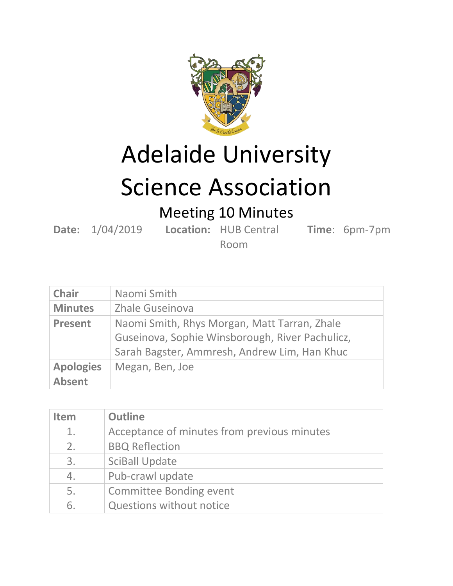

Adelaide University

## Science Association

Meeting 10 Minutes

**Date:** 1/04/2019 **Location:** HUB Central

**Time**: 6pm-7pm

Room

| <b>Chair</b>               | Naomi Smith                                                                                                                                     |
|----------------------------|-------------------------------------------------------------------------------------------------------------------------------------------------|
| <b>Minutes</b>             | Zhale Guseinova                                                                                                                                 |
| <b>Present</b>             | Naomi Smith, Rhys Morgan, Matt Tarran, Zhale<br>Guseinova, Sophie Winsborough, River Pachulicz,<br>Sarah Bagster, Ammresh, Andrew Lim, Han Khuc |
| <b>Apologies</b><br>Absent | Megan, Ben, Joe                                                                                                                                 |

| <b>Item</b> | <b>Outline</b>                              |
|-------------|---------------------------------------------|
| 1.          | Acceptance of minutes from previous minutes |
| 2.          | <b>BBQ Reflection</b>                       |
| 3.          | <b>SciBall Update</b>                       |
| 4.          | Pub-crawl update                            |
| 5.          | <b>Committee Bonding event</b>              |
| 6.          | <b>Questions without notice</b>             |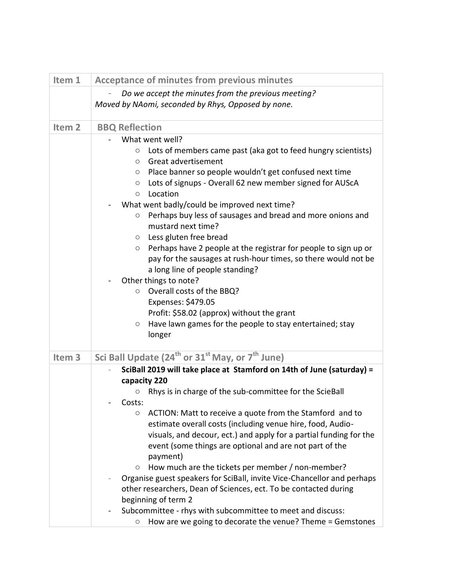| Item 1            | <b>Acceptance of minutes from previous minutes</b>                                                                               |
|-------------------|----------------------------------------------------------------------------------------------------------------------------------|
|                   | Do we accept the minutes from the previous meeting?                                                                              |
|                   | Moved by NAomi, seconded by Rhys, Opposed by none.                                                                               |
|                   |                                                                                                                                  |
| Item <sub>2</sub> | <b>BBQ Reflection</b>                                                                                                            |
|                   | What went well?                                                                                                                  |
|                   | Lots of members came past (aka got to feed hungry scientists)<br>$\circ$<br>Great advertisement<br>$\circ$                       |
|                   | Place banner so people wouldn't get confused next time<br>$\circ$                                                                |
|                   | Lots of signups - Overall 62 new member signed for AUScA<br>$\circ$                                                              |
|                   | Location<br>$\circ$                                                                                                              |
|                   | What went badly/could be improved next time?                                                                                     |
|                   | Perhaps buy less of sausages and bread and more onions and<br>O<br>mustard next time?                                            |
|                   | Less gluten free bread<br>$\circ$                                                                                                |
|                   | Perhaps have 2 people at the registrar for people to sign up or<br>$\circ$                                                       |
|                   | pay for the sausages at rush-hour times, so there would not be                                                                   |
|                   | a long line of people standing?                                                                                                  |
|                   | Other things to note?                                                                                                            |
|                   | Overall costs of the BBQ?<br>$\circ$                                                                                             |
|                   | Expenses: \$479.05<br>Profit: \$58.02 (approx) without the grant                                                                 |
|                   | Have lawn games for the people to stay entertained; stay<br>$\circ$                                                              |
|                   | longer                                                                                                                           |
|                   |                                                                                                                                  |
| Item <sub>3</sub> | Sci Ball Update (24 <sup>th</sup> or 31 <sup>st</sup> May, or 7 <sup>th</sup> June)                                              |
|                   | SciBall 2019 will take place at Stamford on 14th of June (saturday) =                                                            |
|                   | capacity 220                                                                                                                     |
|                   | Rhys is in charge of the sub-committee for the ScieBall                                                                          |
|                   | Costs:                                                                                                                           |
|                   | ACTION: Matt to receive a quote from the Stamford and to<br>O                                                                    |
|                   | estimate overall costs (including venue hire, food, Audio-<br>visuals, and decour, ect.) and apply for a partial funding for the |
|                   | event (some things are optional and are not part of the                                                                          |
|                   | payment)                                                                                                                         |
|                   | How much are the tickets per member / non-member?<br>O                                                                           |
|                   | Organise guest speakers for SciBall, invite Vice-Chancellor and perhaps                                                          |
|                   | other researchers, Dean of Sciences, ect. To be contacted during                                                                 |
|                   | beginning of term 2                                                                                                              |
|                   | Subcommittee - rhys with subcommittee to meet and discuss:                                                                       |
|                   | How are we going to decorate the venue? Theme = Gemstones<br>O                                                                   |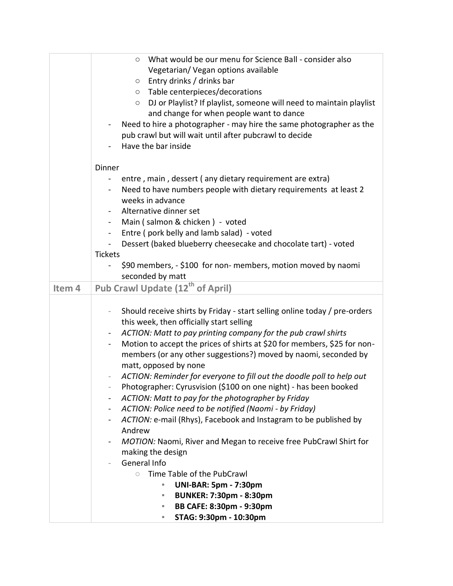|        | What would be our menu for Science Ball - consider also<br>$\circ$                                  |
|--------|-----------------------------------------------------------------------------------------------------|
|        | Vegetarian/ Vegan options available                                                                 |
|        |                                                                                                     |
|        | Entry drinks / drinks bar<br>$\circ$                                                                |
|        | Table centerpieces/decorations<br>$\circ$                                                           |
|        | DJ or Playlist? If playlist, someone will need to maintain playlist<br>$\circ$                      |
|        | and change for when people want to dance                                                            |
|        | Need to hire a photographer - may hire the same photographer as the<br>$\qquad \qquad \blacksquare$ |
|        | pub crawl but will wait until after pubcrawl to decide                                              |
|        | Have the bar inside                                                                                 |
|        | Dinner                                                                                              |
|        | entre, main, dessert (any dietary requirement are extra)                                            |
|        | Need to have numbers people with dietary requirements at least 2                                    |
|        | weeks in advance                                                                                    |
|        | Alternative dinner set                                                                              |
|        | Main (salmon & chicken) - voted<br>$\sim$                                                           |
|        | Entre (pork belly and lamb salad) - voted<br>$\blacksquare$                                         |
|        | Dessert (baked blueberry cheesecake and chocolate tart) - voted                                     |
|        | <b>Tickets</b>                                                                                      |
|        | \$90 members, - \$100 for non- members, motion moved by naomi                                       |
|        | seconded by matt                                                                                    |
|        | Pub Crawl Update (12 <sup>th</sup> of April)                                                        |
| Item 4 |                                                                                                     |
|        |                                                                                                     |
|        | Should receive shirts by Friday - start selling online today / pre-orders                           |
|        | this week, then officially start selling                                                            |
|        | ACTION: Matt to pay printing company for the pub crawl shirts<br>$\blacksquare$                     |
|        | Motion to accept the prices of shirts at \$20 for members, \$25 for non-<br>-                       |
|        | members (or any other suggestions?) moved by naomi, seconded by                                     |
|        | matt, opposed by none                                                                               |
|        | ACTION: Reminder for everyone to fill out the doodle poll to help out                               |
|        | Photographer: Cyrusvision (\$100 on one night) - has been booked                                    |
|        | ACTION: Matt to pay for the photographer by Friday                                                  |
|        | ACTION: Police need to be notified (Naomi - by Friday)<br>-                                         |
|        | ACTION: e-mail (Rhys), Facebook and Instagram to be published by                                    |
|        | Andrew                                                                                              |
|        | MOTION: Naomi, River and Megan to receive free PubCrawl Shirt for<br>$\qquad \qquad \blacksquare$   |
|        | making the design                                                                                   |
|        | General Info                                                                                        |
|        | Time Table of the PubCrawl<br>$\circ$                                                               |
|        | <b>UNI-BAR: 5pm - 7:30pm</b><br>٠                                                                   |
|        | <b>BUNKER: 7:30pm - 8:30pm</b><br>٠                                                                 |
|        |                                                                                                     |
|        | BB CAFE: 8:30pm - 9:30pm<br>ш                                                                       |
|        | STAG: 9:30pm - 10:30pm<br>٠                                                                         |